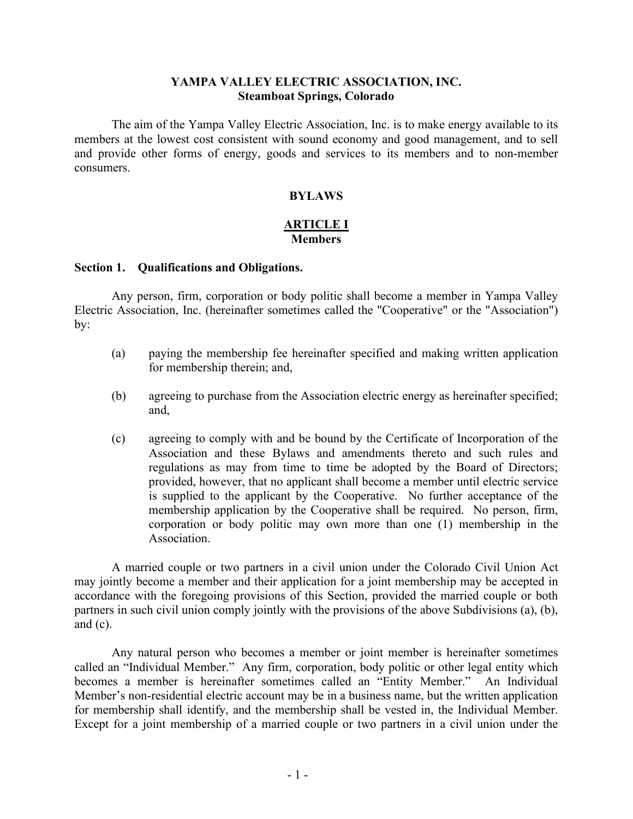#### **YAMPA VALLEY ELECTRIC ASSOCIATION, INC. Steamboat Springs, Colorado**

The aim of the Yampa Valley Electric Association, Inc. is to make energy available to its members at the lowest cost consistent with sound economy and good management, and to sell and provide other forms of energy, goods and services to its members and to non-member consumers.

### **BYLAWS**

### **ARTICLE I Members**

#### **Section 1. Qualifications and Obligations.**

Any person, firm, corporation or body politic shall become a member in Yampa Valley Electric Association, Inc. (hereinafter sometimes called the "Cooperative" or the "Association") by:

- (a) paying the membership fee hereinafter specified and making written application for membership therein; and,
- (b) agreeing to purchase from the Association electric energy as hereinafter specified; and,
- (c) agreeing to comply with and be bound by the Certificate of Incorporation of the Association and these Bylaws and amendments thereto and such rules and regulations as may from time to time be adopted by the Board of Directors; provided, however, that no applicant shall become a member until electric service is supplied to the applicant by the Cooperative. No further acceptance of the membership application by the Cooperative shall be required. No person, firm, corporation or body politic may own more than one (1) membership in the Association.

A married couple or two partners in a civil union under the Colorado Civil Union Act may jointly become a member and their application for a joint membership may be accepted in accordance with the foregoing provisions of this Section, provided the married couple or both partners in such civil union comply jointly with the provisions of the above Subdivisions (a), (b), and  $(c)$ .

Any natural person who becomes a member or joint member is hereinafter sometimes called an "Individual Member." Any firm, corporation, body politic or other legal entity which becomes a member is hereinafter sometimes called an "Entity Member." An Individual Member's non-residential electric account may be in a business name, but the written application for membership shall identify, and the membership shall be vested in, the Individual Member. Except for a joint membership of a married couple or two partners in a civil union under the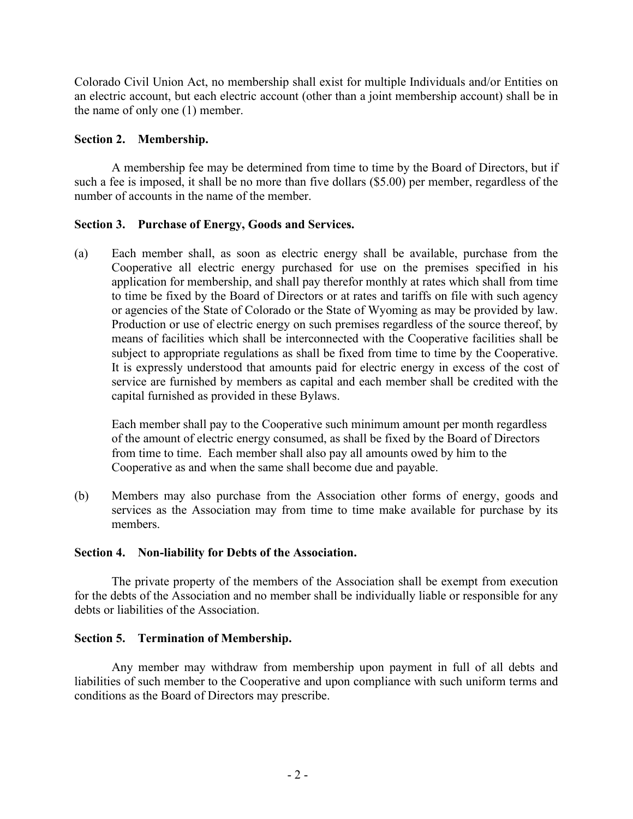Colorado Civil Union Act, no membership shall exist for multiple Individuals and/or Entities on an electric account, but each electric account (other than a joint membership account) shall be in the name of only one (1) member.

### **Section 2. Membership.**

A membership fee may be determined from time to time by the Board of Directors, but if such a fee is imposed, it shall be no more than five dollars (\$5.00) per member, regardless of the number of accounts in the name of the member.

## **Section 3. Purchase of Energy, Goods and Services.**

(a) Each member shall, as soon as electric energy shall be available, purchase from the Cooperative all electric energy purchased for use on the premises specified in his application for membership, and shall pay therefor monthly at rates which shall from time to time be fixed by the Board of Directors or at rates and tariffs on file with such agency or agencies of the State of Colorado or the State of Wyoming as may be provided by law. Production or use of electric energy on such premises regardless of the source thereof, by means of facilities which shall be interconnected with the Cooperative facilities shall be subject to appropriate regulations as shall be fixed from time to time by the Cooperative. It is expressly understood that amounts paid for electric energy in excess of the cost of service are furnished by members as capital and each member shall be credited with the capital furnished as provided in these Bylaws.

Each member shall pay to the Cooperative such minimum amount per month regardless of the amount of electric energy consumed, as shall be fixed by the Board of Directors from time to time. Each member shall also pay all amounts owed by him to the Cooperative as and when the same shall become due and payable.

(b) Members may also purchase from the Association other forms of energy, goods and services as the Association may from time to time make available for purchase by its members.

## **Section 4. Non-liability for Debts of the Association.**

The private property of the members of the Association shall be exempt from execution for the debts of the Association and no member shall be individually liable or responsible for any debts or liabilities of the Association.

## **Section 5. Termination of Membership.**

Any member may withdraw from membership upon payment in full of all debts and liabilities of such member to the Cooperative and upon compliance with such uniform terms and conditions as the Board of Directors may prescribe.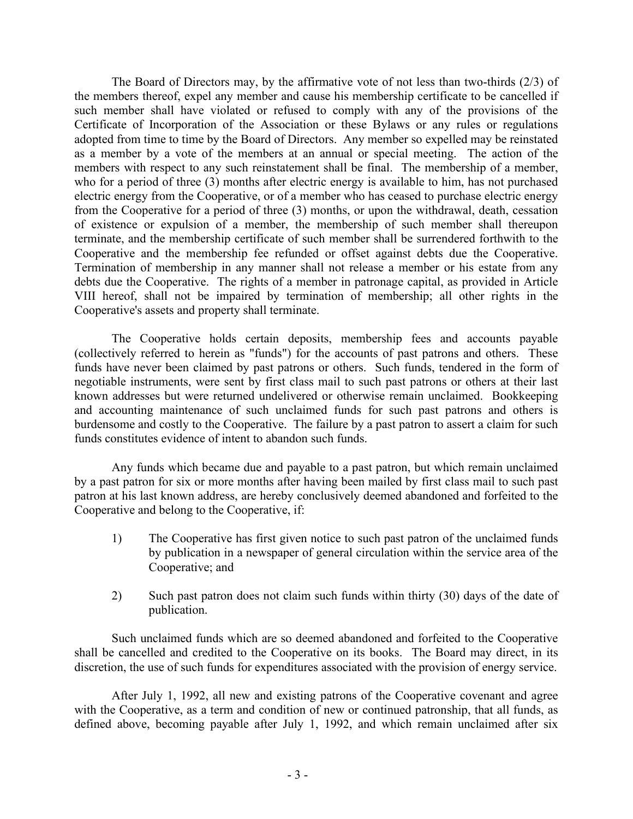The Board of Directors may, by the affirmative vote of not less than two-thirds (2/3) of the members thereof, expel any member and cause his membership certificate to be cancelled if such member shall have violated or refused to comply with any of the provisions of the Certificate of Incorporation of the Association or these Bylaws or any rules or regulations adopted from time to time by the Board of Directors. Any member so expelled may be reinstated as a member by a vote of the members at an annual or special meeting. The action of the members with respect to any such reinstatement shall be final. The membership of a member, who for a period of three (3) months after electric energy is available to him, has not purchased electric energy from the Cooperative, or of a member who has ceased to purchase electric energy from the Cooperative for a period of three (3) months, or upon the withdrawal, death, cessation of existence or expulsion of a member, the membership of such member shall thereupon terminate, and the membership certificate of such member shall be surrendered forthwith to the Cooperative and the membership fee refunded or offset against debts due the Cooperative. Termination of membership in any manner shall not release a member or his estate from any debts due the Cooperative. The rights of a member in patronage capital, as provided in Article VIII hereof, shall not be impaired by termination of membership; all other rights in the Cooperative's assets and property shall terminate.

The Cooperative holds certain deposits, membership fees and accounts payable (collectively referred to herein as "funds") for the accounts of past patrons and others. These funds have never been claimed by past patrons or others. Such funds, tendered in the form of negotiable instruments, were sent by first class mail to such past patrons or others at their last known addresses but were returned undelivered or otherwise remain unclaimed. Bookkeeping and accounting maintenance of such unclaimed funds for such past patrons and others is burdensome and costly to the Cooperative. The failure by a past patron to assert a claim for such funds constitutes evidence of intent to abandon such funds.

Any funds which became due and payable to a past patron, but which remain unclaimed by a past patron for six or more months after having been mailed by first class mail to such past patron at his last known address, are hereby conclusively deemed abandoned and forfeited to the Cooperative and belong to the Cooperative, if:

- 1) The Cooperative has first given notice to such past patron of the unclaimed funds by publication in a newspaper of general circulation within the service area of the Cooperative; and
- 2) Such past patron does not claim such funds within thirty (30) days of the date of publication.

Such unclaimed funds which are so deemed abandoned and forfeited to the Cooperative shall be cancelled and credited to the Cooperative on its books. The Board may direct, in its discretion, the use of such funds for expenditures associated with the provision of energy service.

After July 1, 1992, all new and existing patrons of the Cooperative covenant and agree with the Cooperative, as a term and condition of new or continued patronship, that all funds, as defined above, becoming payable after July 1, 1992, and which remain unclaimed after six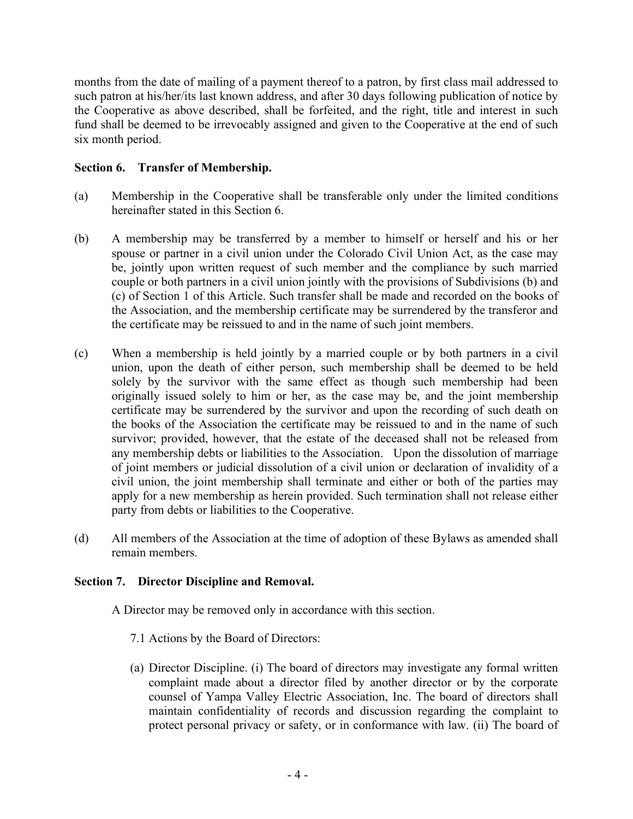months from the date of mailing of a payment thereof to a patron, by first class mail addressed to such patron at his/her/its last known address, and after 30 days following publication of notice by the Cooperative as above described, shall be forfeited, and the right, title and interest in such fund shall be deemed to be irrevocably assigned and given to the Cooperative at the end of such six month period.

### **Section 6. Transfer of Membership.**

- (a) Membership in the Cooperative shall be transferable only under the limited conditions hereinafter stated in this Section 6.
- (b) A membership may be transferred by a member to himself or herself and his or her spouse or partner in a civil union under the Colorado Civil Union Act, as the case may be, jointly upon written request of such member and the compliance by such married couple or both partners in a civil union jointly with the provisions of Subdivisions (b) and (c) of Section 1 of this Article. Such transfer shall be made and recorded on the books of the Association, and the membership certificate may be surrendered by the transferor and the certificate may be reissued to and in the name of such joint members.
- (c) When a membership is held jointly by a married couple or by both partners in a civil union, upon the death of either person, such membership shall be deemed to be held solely by the survivor with the same effect as though such membership had been originally issued solely to him or her, as the case may be, and the joint membership certificate may be surrendered by the survivor and upon the recording of such death on the books of the Association the certificate may be reissued to and in the name of such survivor; provided, however, that the estate of the deceased shall not be released from any membership debts or liabilities to the Association. Upon the dissolution of marriage of joint members or judicial dissolution of a civil union or declaration of invalidity of a civil union, the joint membership shall terminate and either or both of the parties may apply for a new membership as herein provided. Such termination shall not release either party from debts or liabilities to the Cooperative.
- (d) All members of the Association at the time of adoption of these Bylaws as amended shall remain members.

### **Section 7. Director Discipline and Removal.**

A Director may be removed only in accordance with this section.

- 7.1 Actions by the Board of Directors:
- (a) Director Discipline. (i) The board of directors may investigate any formal written complaint made about a director filed by another director or by the corporate counsel of Yampa Valley Electric Association, Inc. The board of directors shall maintain confidentiality of records and discussion regarding the complaint to protect personal privacy or safety, or in conformance with law. (ii) The board of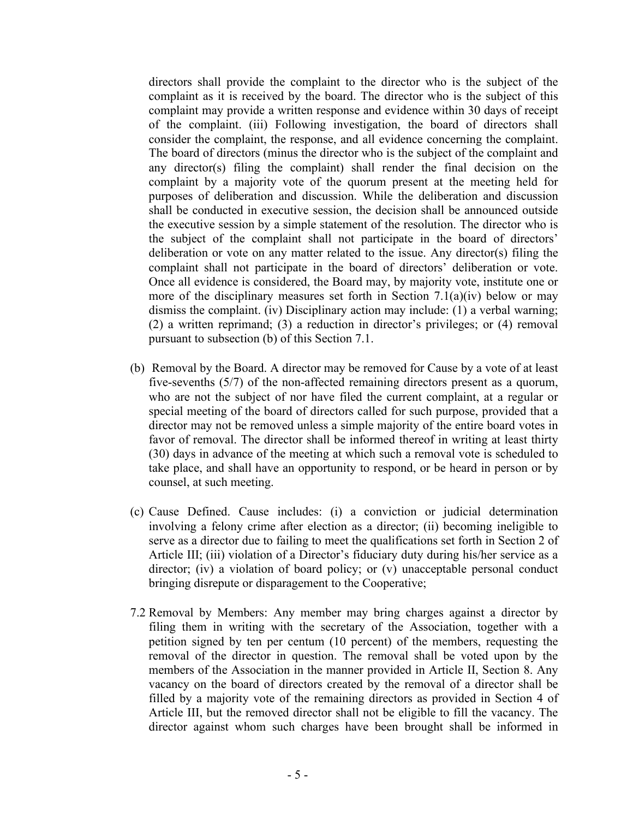directors shall provide the complaint to the director who is the subject of the complaint as it is received by the board. The director who is the subject of this complaint may provide a written response and evidence within 30 days of receipt of the complaint. (iii) Following investigation, the board of directors shall consider the complaint, the response, and all evidence concerning the complaint. The board of directors (minus the director who is the subject of the complaint and any director(s) filing the complaint) shall render the final decision on the complaint by a majority vote of the quorum present at the meeting held for purposes of deliberation and discussion. While the deliberation and discussion shall be conducted in executive session, the decision shall be announced outside the executive session by a simple statement of the resolution. The director who is the subject of the complaint shall not participate in the board of directors' deliberation or vote on any matter related to the issue. Any director(s) filing the complaint shall not participate in the board of directors' deliberation or vote. Once all evidence is considered, the Board may, by majority vote, institute one or more of the disciplinary measures set forth in Section 7.1(a)(iv) below or may dismiss the complaint. (iv) Disciplinary action may include: (1) a verbal warning; (2) a written reprimand; (3) a reduction in director's privileges; or (4) removal pursuant to subsection (b) of this Section 7.1.

- (b) Removal by the Board. A director may be removed for Cause by a vote of at least five-sevenths (5/7) of the non-affected remaining directors present as a quorum, who are not the subject of nor have filed the current complaint, at a regular or special meeting of the board of directors called for such purpose, provided that a director may not be removed unless a simple majority of the entire board votes in favor of removal. The director shall be informed thereof in writing at least thirty (30) days in advance of the meeting at which such a removal vote is scheduled to take place, and shall have an opportunity to respond, or be heard in person or by counsel, at such meeting.
- (c) Cause Defined. Cause includes: (i) a conviction or judicial determination involving a felony crime after election as a director; (ii) becoming ineligible to serve as a director due to failing to meet the qualifications set forth in Section 2 of Article III; (iii) violation of a Director's fiduciary duty during his/her service as a director; (iv) a violation of board policy; or (v) unacceptable personal conduct bringing disrepute or disparagement to the Cooperative;
- 7.2 Removal by Members: Any member may bring charges against a director by filing them in writing with the secretary of the Association, together with a petition signed by ten per centum (10 percent) of the members, requesting the removal of the director in question. The removal shall be voted upon by the members of the Association in the manner provided in Article II, Section 8. Any vacancy on the board of directors created by the removal of a director shall be filled by a majority vote of the remaining directors as provided in Section 4 of Article III, but the removed director shall not be eligible to fill the vacancy. The director against whom such charges have been brought shall be informed in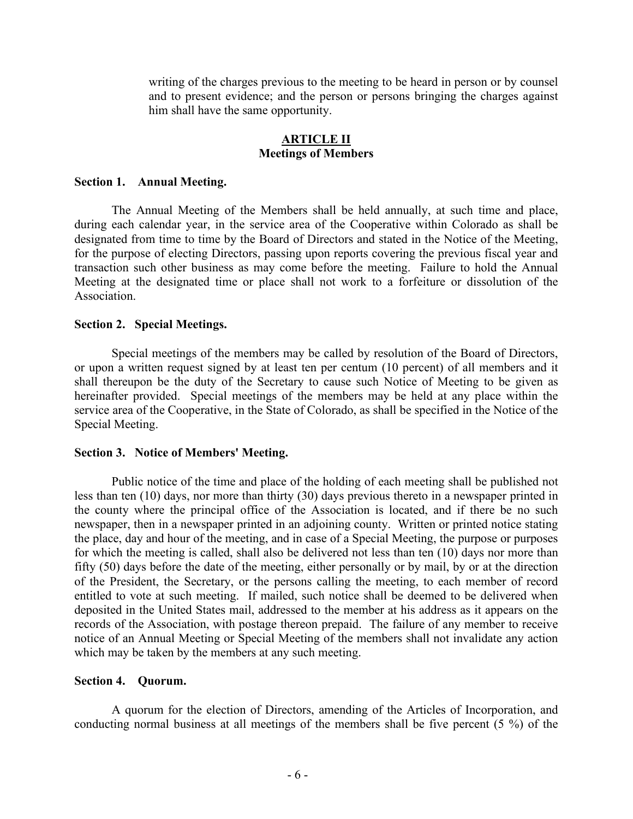writing of the charges previous to the meeting to be heard in person or by counsel and to present evidence; and the person or persons bringing the charges against him shall have the same opportunity.

### **ARTICLE II Meetings of Members**

#### **Section 1. Annual Meeting.**

The Annual Meeting of the Members shall be held annually, at such time and place, during each calendar year, in the service area of the Cooperative within Colorado as shall be designated from time to time by the Board of Directors and stated in the Notice of the Meeting, for the purpose of electing Directors, passing upon reports covering the previous fiscal year and transaction such other business as may come before the meeting. Failure to hold the Annual Meeting at the designated time or place shall not work to a forfeiture or dissolution of the Association.

#### **Section 2. Special Meetings.**

Special meetings of the members may be called by resolution of the Board of Directors, or upon a written request signed by at least ten per centum (10 percent) of all members and it shall thereupon be the duty of the Secretary to cause such Notice of Meeting to be given as hereinafter provided. Special meetings of the members may be held at any place within the service area of the Cooperative, in the State of Colorado, as shall be specified in the Notice of the Special Meeting.

#### **Section 3. Notice of Members' Meeting.**

Public notice of the time and place of the holding of each meeting shall be published not less than ten (10) days, nor more than thirty (30) days previous thereto in a newspaper printed in the county where the principal office of the Association is located, and if there be no such newspaper, then in a newspaper printed in an adjoining county. Written or printed notice stating the place, day and hour of the meeting, and in case of a Special Meeting, the purpose or purposes for which the meeting is called, shall also be delivered not less than ten (10) days nor more than fifty (50) days before the date of the meeting, either personally or by mail, by or at the direction of the President, the Secretary, or the persons calling the meeting, to each member of record entitled to vote at such meeting. If mailed, such notice shall be deemed to be delivered when deposited in the United States mail, addressed to the member at his address as it appears on the records of the Association, with postage thereon prepaid. The failure of any member to receive notice of an Annual Meeting or Special Meeting of the members shall not invalidate any action which may be taken by the members at any such meeting.

#### **Section 4. Quorum.**

A quorum for the election of Directors, amending of the Articles of Incorporation, and conducting normal business at all meetings of the members shall be five percent (5 %) of the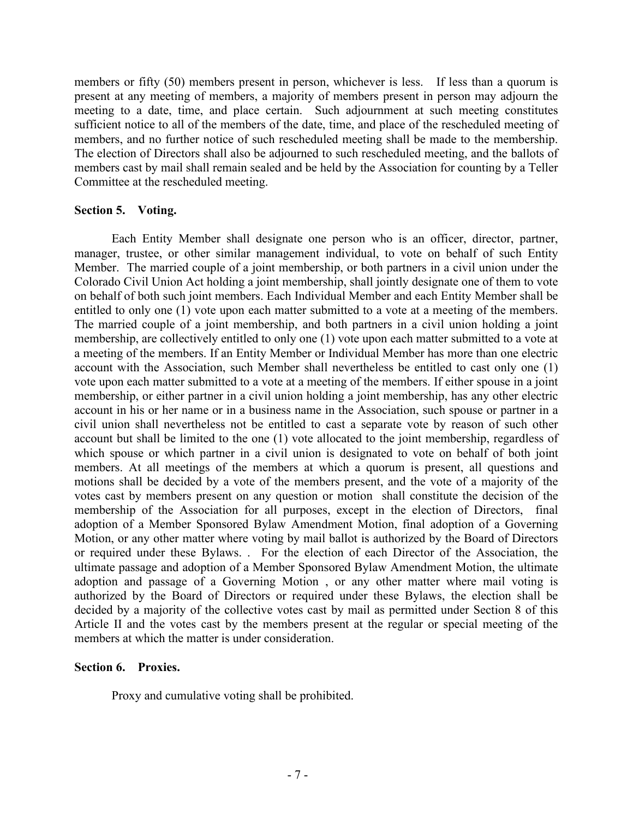members or fifty (50) members present in person, whichever is less. If less than a quorum is present at any meeting of members, a majority of members present in person may adjourn the meeting to a date, time, and place certain. Such adjournment at such meeting constitutes sufficient notice to all of the members of the date, time, and place of the rescheduled meeting of members, and no further notice of such rescheduled meeting shall be made to the membership. The election of Directors shall also be adjourned to such rescheduled meeting, and the ballots of members cast by mail shall remain sealed and be held by the Association for counting by a Teller Committee at the rescheduled meeting.

#### **Section 5. Voting.**

Each Entity Member shall designate one person who is an officer, director, partner, manager, trustee, or other similar management individual, to vote on behalf of such Entity Member. The married couple of a joint membership, or both partners in a civil union under the Colorado Civil Union Act holding a joint membership, shall jointly designate one of them to vote on behalf of both such joint members. Each Individual Member and each Entity Member shall be entitled to only one (1) vote upon each matter submitted to a vote at a meeting of the members. The married couple of a joint membership, and both partners in a civil union holding a joint membership, are collectively entitled to only one (1) vote upon each matter submitted to a vote at a meeting of the members. If an Entity Member or Individual Member has more than one electric account with the Association, such Member shall nevertheless be entitled to cast only one (1) vote upon each matter submitted to a vote at a meeting of the members. If either spouse in a joint membership, or either partner in a civil union holding a joint membership, has any other electric account in his or her name or in a business name in the Association, such spouse or partner in a civil union shall nevertheless not be entitled to cast a separate vote by reason of such other account but shall be limited to the one (1) vote allocated to the joint membership, regardless of which spouse or which partner in a civil union is designated to vote on behalf of both joint members. At all meetings of the members at which a quorum is present, all questions and motions shall be decided by a vote of the members present, and the vote of a majority of the votes cast by members present on any question or motion shall constitute the decision of the membership of the Association for all purposes, except in the election of Directors, final adoption of a Member Sponsored Bylaw Amendment Motion, final adoption of a Governing Motion, or any other matter where voting by mail ballot is authorized by the Board of Directors or required under these Bylaws. . For the election of each Director of the Association, the ultimate passage and adoption of a Member Sponsored Bylaw Amendment Motion, the ultimate adoption and passage of a Governing Motion , or any other matter where mail voting is authorized by the Board of Directors or required under these Bylaws, the election shall be decided by a majority of the collective votes cast by mail as permitted under Section 8 of this Article II and the votes cast by the members present at the regular or special meeting of the members at which the matter is under consideration.

### **Section 6. Proxies.**

Proxy and cumulative voting shall be prohibited.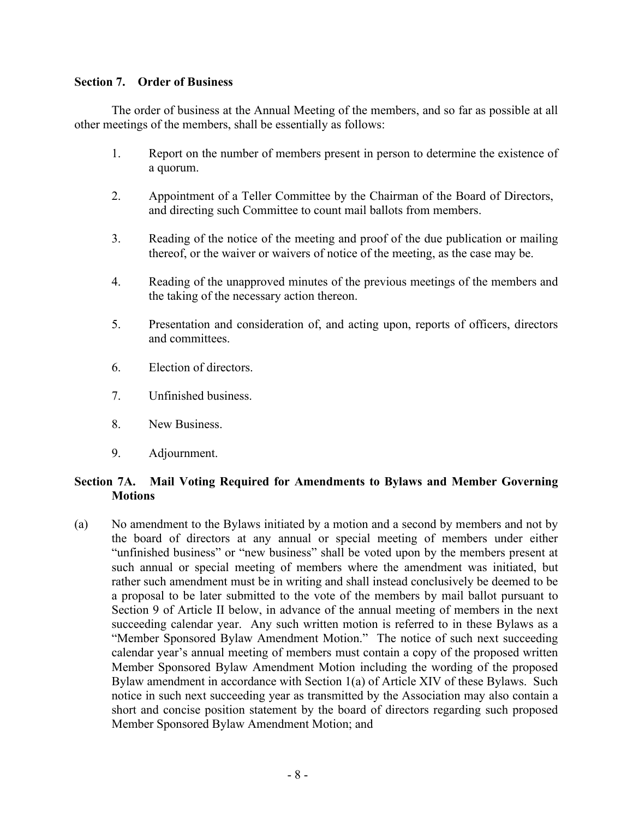## **Section 7. Order of Business**

The order of business at the Annual Meeting of the members, and so far as possible at all other meetings of the members, shall be essentially as follows:

- 1. Report on the number of members present in person to determine the existence of a quorum.
- 2. Appointment of a Teller Committee by the Chairman of the Board of Directors, and directing such Committee to count mail ballots from members.
- 3. Reading of the notice of the meeting and proof of the due publication or mailing thereof, or the waiver or waivers of notice of the meeting, as the case may be.
- 4. Reading of the unapproved minutes of the previous meetings of the members and the taking of the necessary action thereon.
- 5. Presentation and consideration of, and acting upon, reports of officers, directors and committees.
- 6. Election of directors.
- 7. Unfinished business.
- 8. New Business.
- 9. Adjournment.

## **Section 7A. Mail Voting Required for Amendments to Bylaws and Member Governing Motions**

(a) No amendment to the Bylaws initiated by a motion and a second by members and not by the board of directors at any annual or special meeting of members under either "unfinished business" or "new business" shall be voted upon by the members present at such annual or special meeting of members where the amendment was initiated, but rather such amendment must be in writing and shall instead conclusively be deemed to be a proposal to be later submitted to the vote of the members by mail ballot pursuant to Section 9 of Article II below, in advance of the annual meeting of members in the next succeeding calendar year. Any such written motion is referred to in these Bylaws as a "Member Sponsored Bylaw Amendment Motion." The notice of such next succeeding calendar year's annual meeting of members must contain a copy of the proposed written Member Sponsored Bylaw Amendment Motion including the wording of the proposed Bylaw amendment in accordance with Section 1(a) of Article XIV of these Bylaws. Such notice in such next succeeding year as transmitted by the Association may also contain a short and concise position statement by the board of directors regarding such proposed Member Sponsored Bylaw Amendment Motion; and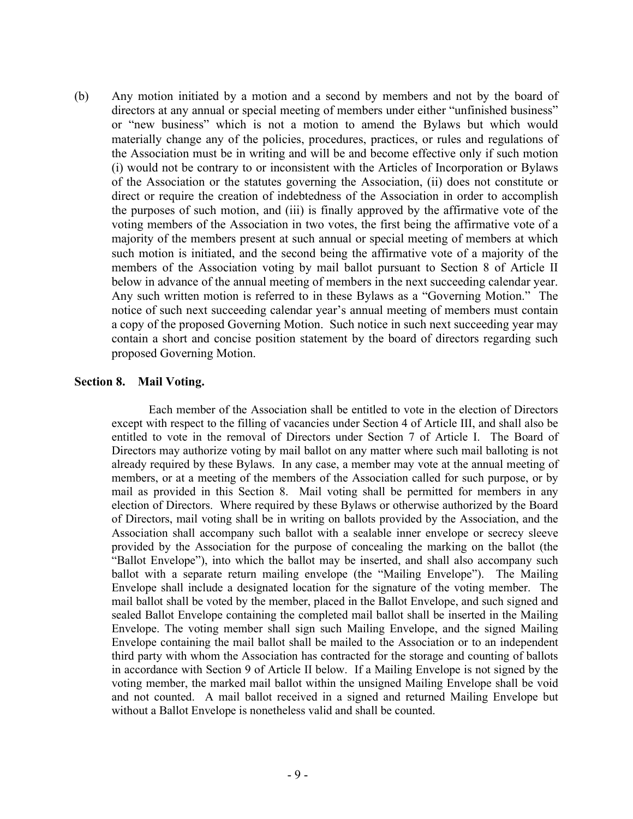(b) Any motion initiated by a motion and a second by members and not by the board of directors at any annual or special meeting of members under either "unfinished business" or "new business" which is not a motion to amend the Bylaws but which would materially change any of the policies, procedures, practices, or rules and regulations of the Association must be in writing and will be and become effective only if such motion (i) would not be contrary to or inconsistent with the Articles of Incorporation or Bylaws of the Association or the statutes governing the Association, (ii) does not constitute or direct or require the creation of indebtedness of the Association in order to accomplish the purposes of such motion, and (iii) is finally approved by the affirmative vote of the voting members of the Association in two votes, the first being the affirmative vote of a majority of the members present at such annual or special meeting of members at which such motion is initiated, and the second being the affirmative vote of a majority of the members of the Association voting by mail ballot pursuant to Section 8 of Article II below in advance of the annual meeting of members in the next succeeding calendar year. Any such written motion is referred to in these Bylaws as a "Governing Motion." The notice of such next succeeding calendar year's annual meeting of members must contain a copy of the proposed Governing Motion. Such notice in such next succeeding year may contain a short and concise position statement by the board of directors regarding such proposed Governing Motion.

### **Section 8. Mail Voting.**

Each member of the Association shall be entitled to vote in the election of Directors except with respect to the filling of vacancies under Section 4 of Article III, and shall also be entitled to vote in the removal of Directors under Section 7 of Article I. The Board of Directors may authorize voting by mail ballot on any matter where such mail balloting is not already required by these Bylaws. In any case, a member may vote at the annual meeting of members, or at a meeting of the members of the Association called for such purpose, or by mail as provided in this Section 8. Mail voting shall be permitted for members in any election of Directors. Where required by these Bylaws or otherwise authorized by the Board of Directors, mail voting shall be in writing on ballots provided by the Association, and the Association shall accompany such ballot with a sealable inner envelope or secrecy sleeve provided by the Association for the purpose of concealing the marking on the ballot (the "Ballot Envelope"), into which the ballot may be inserted, and shall also accompany such ballot with a separate return mailing envelope (the "Mailing Envelope"). The Mailing Envelope shall include a designated location for the signature of the voting member. The mail ballot shall be voted by the member, placed in the Ballot Envelope, and such signed and sealed Ballot Envelope containing the completed mail ballot shall be inserted in the Mailing Envelope. The voting member shall sign such Mailing Envelope, and the signed Mailing Envelope containing the mail ballot shall be mailed to the Association or to an independent third party with whom the Association has contracted for the storage and counting of ballots in accordance with Section 9 of Article II below. If a Mailing Envelope is not signed by the voting member, the marked mail ballot within the unsigned Mailing Envelope shall be void and not counted. A mail ballot received in a signed and returned Mailing Envelope but without a Ballot Envelope is nonetheless valid and shall be counted.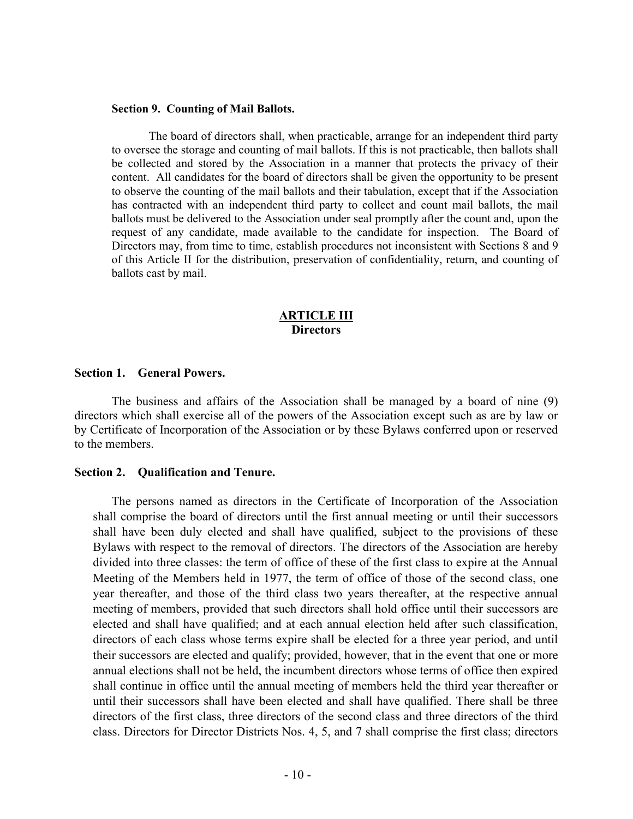#### **Section 9. Counting of Mail Ballots.**

The board of directors shall, when practicable, arrange for an independent third party to oversee the storage and counting of mail ballots. If this is not practicable, then ballots shall be collected and stored by the Association in a manner that protects the privacy of their content. All candidates for the board of directors shall be given the opportunity to be present to observe the counting of the mail ballots and their tabulation, except that if the Association has contracted with an independent third party to collect and count mail ballots, the mail ballots must be delivered to the Association under seal promptly after the count and, upon the request of any candidate, made available to the candidate for inspection. The Board of Directors may, from time to time, establish procedures not inconsistent with Sections 8 and 9 of this Article II for the distribution, preservation of confidentiality, return, and counting of ballots cast by mail.

#### **ARTICLE III Directors**

#### **Section 1. General Powers.**

The business and affairs of the Association shall be managed by a board of nine (9) directors which shall exercise all of the powers of the Association except such as are by law or by Certificate of Incorporation of the Association or by these Bylaws conferred upon or reserved to the members.

#### **Section 2. Qualification and Tenure.**

The persons named as directors in the Certificate of Incorporation of the Association shall comprise the board of directors until the first annual meeting or until their successors shall have been duly elected and shall have qualified, subject to the provisions of these Bylaws with respect to the removal of directors. The directors of the Association are hereby divided into three classes: the term of office of these of the first class to expire at the Annual Meeting of the Members held in 1977, the term of office of those of the second class, one year thereafter, and those of the third class two years thereafter, at the respective annual meeting of members, provided that such directors shall hold office until their successors are elected and shall have qualified; and at each annual election held after such classification, directors of each class whose terms expire shall be elected for a three year period, and until their successors are elected and qualify; provided, however, that in the event that one or more annual elections shall not be held, the incumbent directors whose terms of office then expired shall continue in office until the annual meeting of members held the third year thereafter or until their successors shall have been elected and shall have qualified. There shall be three directors of the first class, three directors of the second class and three directors of the third class. Directors for Director Districts Nos. 4, 5, and 7 shall comprise the first class; directors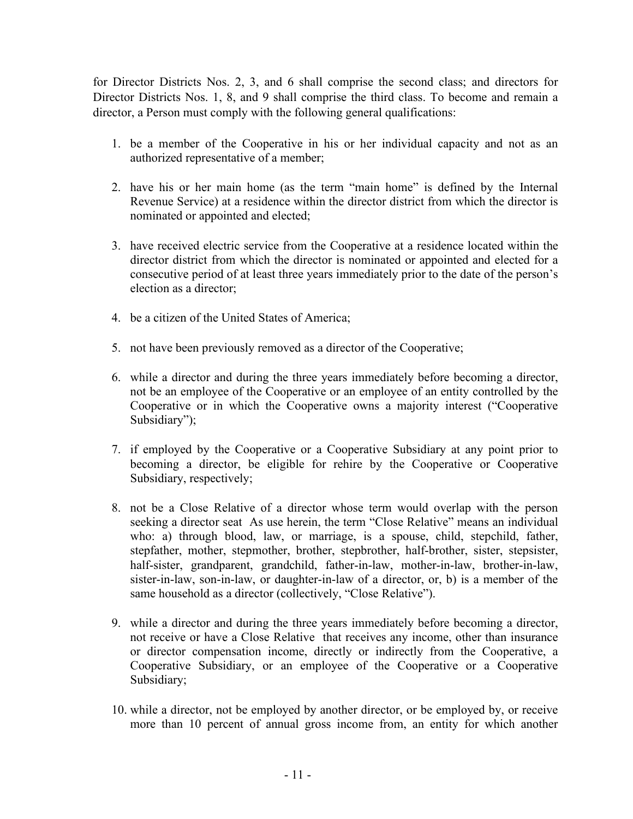for Director Districts Nos. 2, 3, and 6 shall comprise the second class; and directors for Director Districts Nos. 1, 8, and 9 shall comprise the third class. To become and remain a director, a Person must comply with the following general qualifications:

- 1. be a member of the Cooperative in his or her individual capacity and not as an authorized representative of a member;
- 2. have his or her main home (as the term "main home" is defined by the Internal Revenue Service) at a residence within the director district from which the director is nominated or appointed and elected;
- 3. have received electric service from the Cooperative at a residence located within the director district from which the director is nominated or appointed and elected for a consecutive period of at least three years immediately prior to the date of the person's election as a director;
- 4. be a citizen of the United States of America;
- 5. not have been previously removed as a director of the Cooperative;
- 6. while a director and during the three years immediately before becoming a director, not be an employee of the Cooperative or an employee of an entity controlled by the Cooperative or in which the Cooperative owns a majority interest ("Cooperative Subsidiary");
- 7. if employed by the Cooperative or a Cooperative Subsidiary at any point prior to becoming a director, be eligible for rehire by the Cooperative or Cooperative Subsidiary, respectively;
- 8. not be a Close Relative of a director whose term would overlap with the person seeking a director seat As use herein, the term "Close Relative" means an individual who: a) through blood, law, or marriage, is a spouse, child, stepchild, father, stepfather, mother, stepmother, brother, stepbrother, half-brother, sister, stepsister, half-sister, grandparent, grandchild, father-in-law, mother-in-law, brother-in-law, sister-in-law, son-in-law, or daughter-in-law of a director, or, b) is a member of the same household as a director (collectively, "Close Relative").
- 9. while a director and during the three years immediately before becoming a director, not receive or have a Close Relative that receives any income, other than insurance or director compensation income, directly or indirectly from the Cooperative, a Cooperative Subsidiary, or an employee of the Cooperative or a Cooperative Subsidiary;
- 10. while a director, not be employed by another director, or be employed by, or receive more than 10 percent of annual gross income from, an entity for which another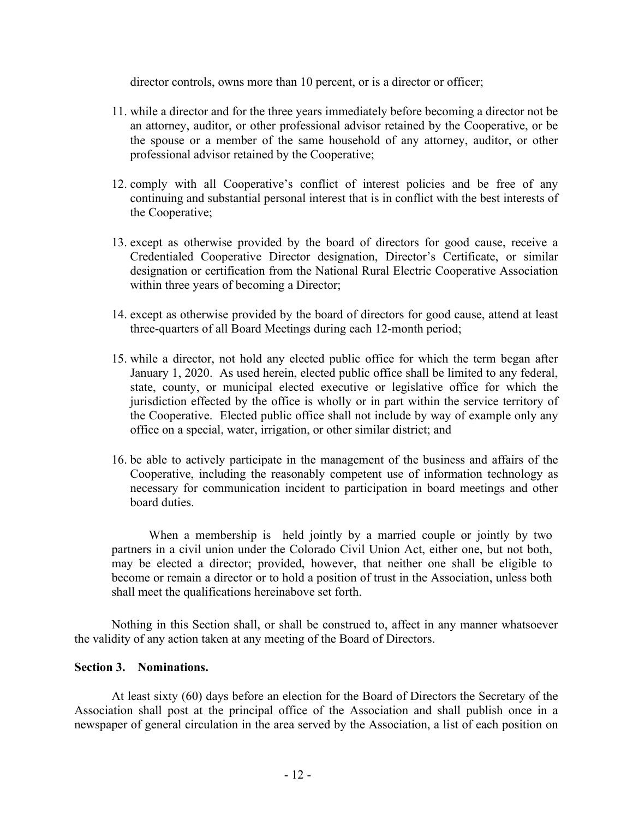director controls, owns more than 10 percent, or is a director or officer;

- 11. while a director and for the three years immediately before becoming a director not be an attorney, auditor, or other professional advisor retained by the Cooperative, or be the spouse or a member of the same household of any attorney, auditor, or other professional advisor retained by the Cooperative;
- 12. comply with all Cooperative's conflict of interest policies and be free of any continuing and substantial personal interest that is in conflict with the best interests of the Cooperative;
- 13. except as otherwise provided by the board of directors for good cause, receive a Credentialed Cooperative Director designation, Director's Certificate, or similar designation or certification from the National Rural Electric Cooperative Association within three years of becoming a Director;
- 14. except as otherwise provided by the board of directors for good cause, attend at least three-quarters of all Board Meetings during each 12-month period;
- 15. while a director, not hold any elected public office for which the term began after January 1, 2020. As used herein, elected public office shall be limited to any federal, state, county, or municipal elected executive or legislative office for which the jurisdiction effected by the office is wholly or in part within the service territory of the Cooperative. Elected public office shall not include by way of example only any office on a special, water, irrigation, or other similar district; and
- 16. be able to actively participate in the management of the business and affairs of the Cooperative, including the reasonably competent use of information technology as necessary for communication incident to participation in board meetings and other board duties.

When a membership is held jointly by a married couple or jointly by two partners in a civil union under the Colorado Civil Union Act, either one, but not both, may be elected a director; provided, however, that neither one shall be eligible to become or remain a director or to hold a position of trust in the Association, unless both shall meet the qualifications hereinabove set forth.

Nothing in this Section shall, or shall be construed to, affect in any manner whatsoever the validity of any action taken at any meeting of the Board of Directors.

### **Section 3. Nominations.**

At least sixty (60) days before an election for the Board of Directors the Secretary of the Association shall post at the principal office of the Association and shall publish once in a newspaper of general circulation in the area served by the Association, a list of each position on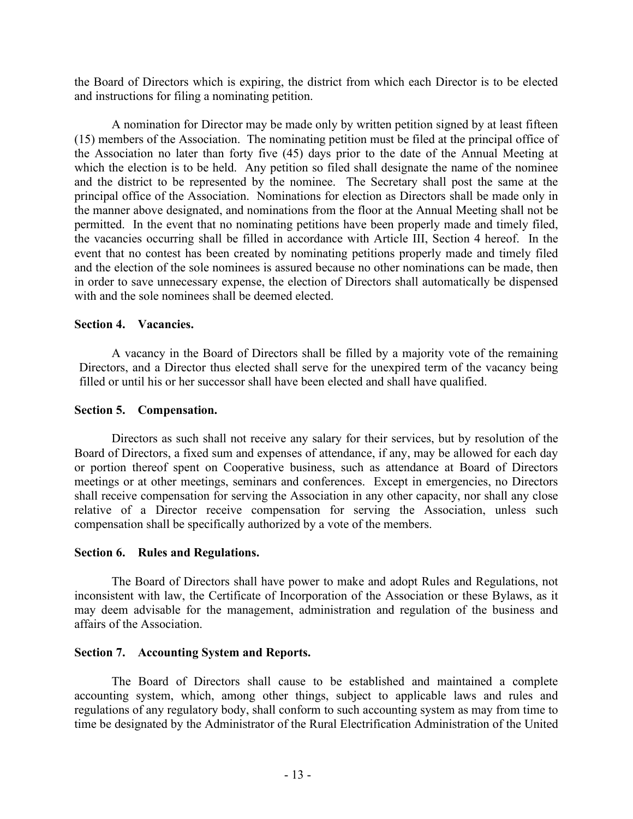the Board of Directors which is expiring, the district from which each Director is to be elected and instructions for filing a nominating petition.

A nomination for Director may be made only by written petition signed by at least fifteen (15) members of the Association. The nominating petition must be filed at the principal office of the Association no later than forty five (45) days prior to the date of the Annual Meeting at which the election is to be held. Any petition so filed shall designate the name of the nominee and the district to be represented by the nominee. The Secretary shall post the same at the principal office of the Association. Nominations for election as Directors shall be made only in the manner above designated, and nominations from the floor at the Annual Meeting shall not be permitted. In the event that no nominating petitions have been properly made and timely filed, the vacancies occurring shall be filled in accordance with Article III, Section 4 hereof. In the event that no contest has been created by nominating petitions properly made and timely filed and the election of the sole nominees is assured because no other nominations can be made, then in order to save unnecessary expense, the election of Directors shall automatically be dispensed with and the sole nominees shall be deemed elected.

### **Section 4. Vacancies.**

A vacancy in the Board of Directors shall be filled by a majority vote of the remaining Directors, and a Director thus elected shall serve for the unexpired term of the vacancy being filled or until his or her successor shall have been elected and shall have qualified.

### **Section 5. Compensation.**

Directors as such shall not receive any salary for their services, but by resolution of the Board of Directors, a fixed sum and expenses of attendance, if any, may be allowed for each day or portion thereof spent on Cooperative business, such as attendance at Board of Directors meetings or at other meetings, seminars and conferences. Except in emergencies, no Directors shall receive compensation for serving the Association in any other capacity, nor shall any close relative of a Director receive compensation for serving the Association, unless such compensation shall be specifically authorized by a vote of the members.

### **Section 6. Rules and Regulations.**

The Board of Directors shall have power to make and adopt Rules and Regulations, not inconsistent with law, the Certificate of Incorporation of the Association or these Bylaws, as it may deem advisable for the management, administration and regulation of the business and affairs of the Association.

### **Section 7. Accounting System and Reports.**

The Board of Directors shall cause to be established and maintained a complete accounting system, which, among other things, subject to applicable laws and rules and regulations of any regulatory body, shall conform to such accounting system as may from time to time be designated by the Administrator of the Rural Electrification Administration of the United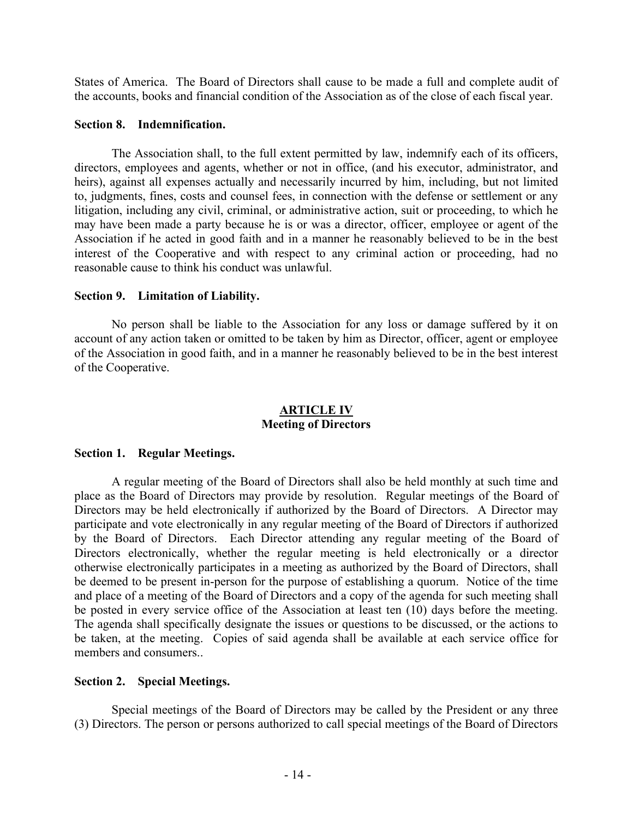States of America. The Board of Directors shall cause to be made a full and complete audit of the accounts, books and financial condition of the Association as of the close of each fiscal year.

#### **Section 8. Indemnification.**

The Association shall, to the full extent permitted by law, indemnify each of its officers, directors, employees and agents, whether or not in office, (and his executor, administrator, and heirs), against all expenses actually and necessarily incurred by him, including, but not limited to, judgments, fines, costs and counsel fees, in connection with the defense or settlement or any litigation, including any civil, criminal, or administrative action, suit or proceeding, to which he may have been made a party because he is or was a director, officer, employee or agent of the Association if he acted in good faith and in a manner he reasonably believed to be in the best interest of the Cooperative and with respect to any criminal action or proceeding, had no reasonable cause to think his conduct was unlawful.

### **Section 9. Limitation of Liability.**

No person shall be liable to the Association for any loss or damage suffered by it on account of any action taken or omitted to be taken by him as Director, officer, agent or employee of the Association in good faith, and in a manner he reasonably believed to be in the best interest of the Cooperative.

### **ARTICLE IV Meeting of Directors**

### **Section 1. Regular Meetings.**

A regular meeting of the Board of Directors shall also be held monthly at such time and place as the Board of Directors may provide by resolution. Regular meetings of the Board of Directors may be held electronically if authorized by the Board of Directors. A Director may participate and vote electronically in any regular meeting of the Board of Directors if authorized by the Board of Directors. Each Director attending any regular meeting of the Board of Directors electronically, whether the regular meeting is held electronically or a director otherwise electronically participates in a meeting as authorized by the Board of Directors, shall be deemed to be present in-person for the purpose of establishing a quorum. Notice of the time and place of a meeting of the Board of Directors and a copy of the agenda for such meeting shall be posted in every service office of the Association at least ten (10) days before the meeting. The agenda shall specifically designate the issues or questions to be discussed, or the actions to be taken, at the meeting. Copies of said agenda shall be available at each service office for members and consumers..

### **Section 2. Special Meetings.**

Special meetings of the Board of Directors may be called by the President or any three (3) Directors. The person or persons authorized to call special meetings of the Board of Directors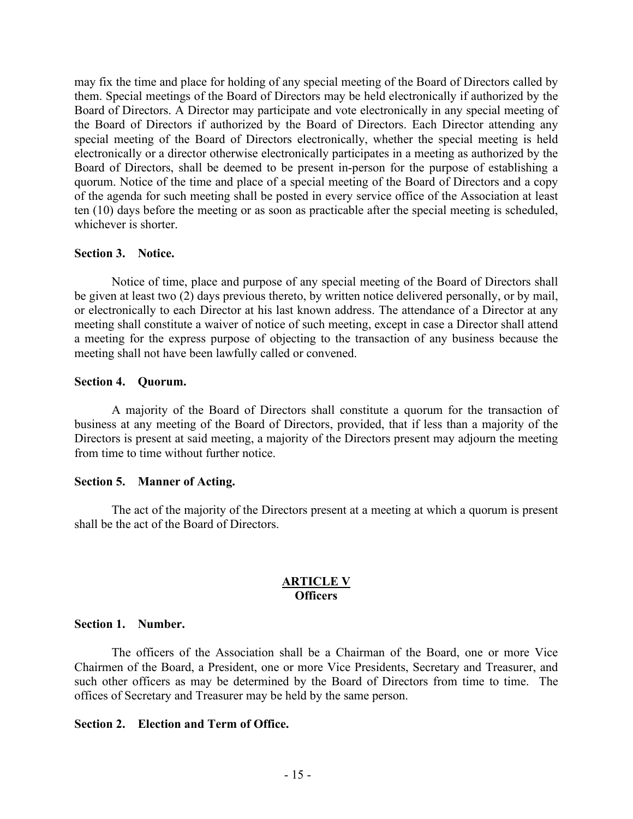may fix the time and place for holding of any special meeting of the Board of Directors called by them. Special meetings of the Board of Directors may be held electronically if authorized by the Board of Directors. A Director may participate and vote electronically in any special meeting of the Board of Directors if authorized by the Board of Directors. Each Director attending any special meeting of the Board of Directors electronically, whether the special meeting is held electronically or a director otherwise electronically participates in a meeting as authorized by the Board of Directors, shall be deemed to be present in-person for the purpose of establishing a quorum. Notice of the time and place of a special meeting of the Board of Directors and a copy of the agenda for such meeting shall be posted in every service office of the Association at least ten (10) days before the meeting or as soon as practicable after the special meeting is scheduled, whichever is shorter.

#### **Section 3. Notice.**

Notice of time, place and purpose of any special meeting of the Board of Directors shall be given at least two (2) days previous thereto, by written notice delivered personally, or by mail, or electronically to each Director at his last known address. The attendance of a Director at any meeting shall constitute a waiver of notice of such meeting, except in case a Director shall attend a meeting for the express purpose of objecting to the transaction of any business because the meeting shall not have been lawfully called or convened.

#### **Section 4. Quorum.**

A majority of the Board of Directors shall constitute a quorum for the transaction of business at any meeting of the Board of Directors, provided, that if less than a majority of the Directors is present at said meeting, a majority of the Directors present may adjourn the meeting from time to time without further notice.

#### **Section 5. Manner of Acting.**

The act of the majority of the Directors present at a meeting at which a quorum is present shall be the act of the Board of Directors.

### **ARTICLE V Officers**

#### **Section 1. Number.**

The officers of the Association shall be a Chairman of the Board, one or more Vice Chairmen of the Board, a President, one or more Vice Presidents, Secretary and Treasurer, and such other officers as may be determined by the Board of Directors from time to time. The offices of Secretary and Treasurer may be held by the same person.

### **Section 2. Election and Term of Office.**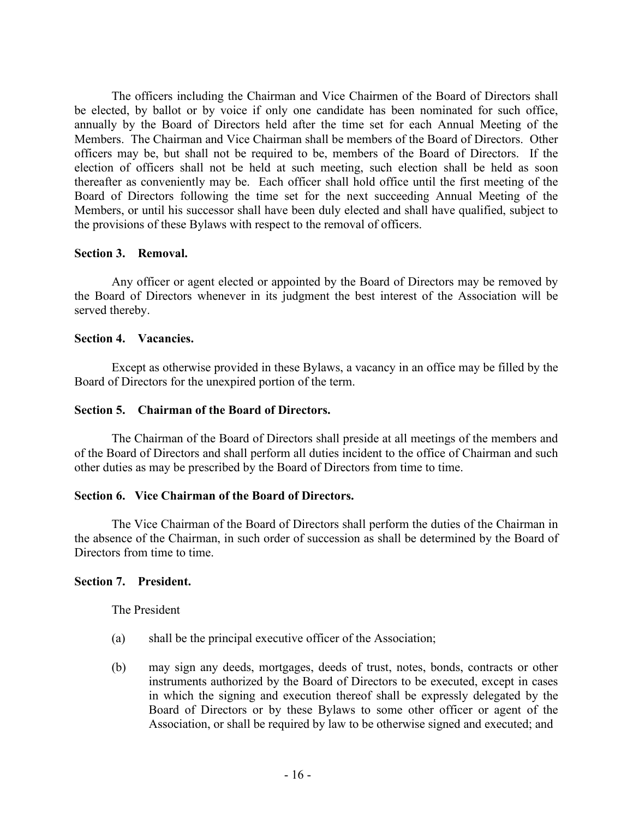The officers including the Chairman and Vice Chairmen of the Board of Directors shall be elected, by ballot or by voice if only one candidate has been nominated for such office, annually by the Board of Directors held after the time set for each Annual Meeting of the Members. The Chairman and Vice Chairman shall be members of the Board of Directors. Other officers may be, but shall not be required to be, members of the Board of Directors. If the election of officers shall not be held at such meeting, such election shall be held as soon thereafter as conveniently may be. Each officer shall hold office until the first meeting of the Board of Directors following the time set for the next succeeding Annual Meeting of the Members, or until his successor shall have been duly elected and shall have qualified, subject to the provisions of these Bylaws with respect to the removal of officers.

### **Section 3. Removal.**

Any officer or agent elected or appointed by the Board of Directors may be removed by the Board of Directors whenever in its judgment the best interest of the Association will be served thereby.

#### **Section 4. Vacancies.**

Except as otherwise provided in these Bylaws, a vacancy in an office may be filled by the Board of Directors for the unexpired portion of the term.

#### **Section 5. Chairman of the Board of Directors.**

The Chairman of the Board of Directors shall preside at all meetings of the members and of the Board of Directors and shall perform all duties incident to the office of Chairman and such other duties as may be prescribed by the Board of Directors from time to time.

#### **Section 6. Vice Chairman of the Board of Directors.**

The Vice Chairman of the Board of Directors shall perform the duties of the Chairman in the absence of the Chairman, in such order of succession as shall be determined by the Board of Directors from time to time.

#### **Section 7. President.**

The President

- (a) shall be the principal executive officer of the Association;
- (b) may sign any deeds, mortgages, deeds of trust, notes, bonds, contracts or other instruments authorized by the Board of Directors to be executed, except in cases in which the signing and execution thereof shall be expressly delegated by the Board of Directors or by these Bylaws to some other officer or agent of the Association, or shall be required by law to be otherwise signed and executed; and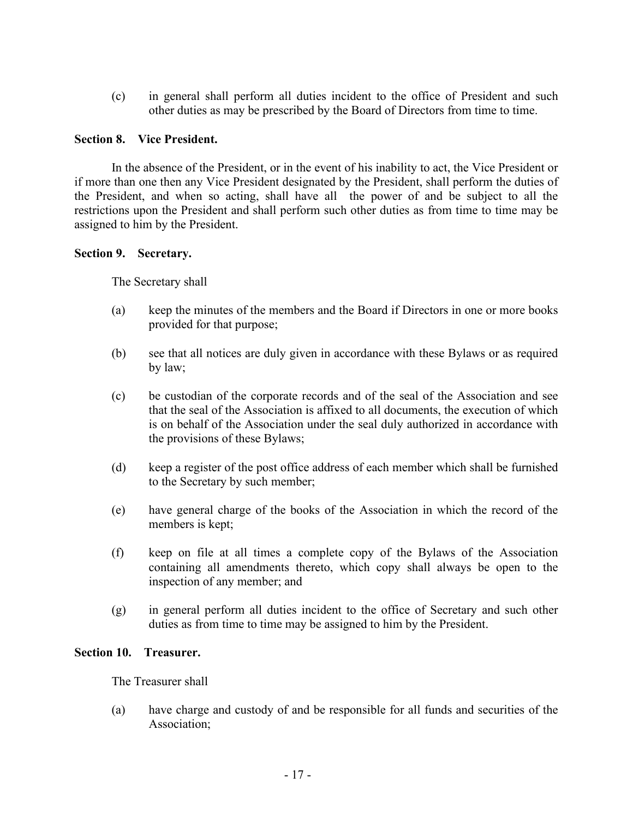(c) in general shall perform all duties incident to the office of President and such other duties as may be prescribed by the Board of Directors from time to time.

### **Section 8. Vice President.**

In the absence of the President, or in the event of his inability to act, the Vice President or if more than one then any Vice President designated by the President, shall perform the duties of the President, and when so acting, shall have all the power of and be subject to all the restrictions upon the President and shall perform such other duties as from time to time may be assigned to him by the President.

### **Section 9. Secretary.**

The Secretary shall

- (a) keep the minutes of the members and the Board if Directors in one or more books provided for that purpose;
- (b) see that all notices are duly given in accordance with these Bylaws or as required by law;
- (c) be custodian of the corporate records and of the seal of the Association and see that the seal of the Association is affixed to all documents, the execution of which is on behalf of the Association under the seal duly authorized in accordance with the provisions of these Bylaws;
- (d) keep a register of the post office address of each member which shall be furnished to the Secretary by such member;
- (e) have general charge of the books of the Association in which the record of the members is kept;
- (f) keep on file at all times a complete copy of the Bylaws of the Association containing all amendments thereto, which copy shall always be open to the inspection of any member; and
- (g) in general perform all duties incident to the office of Secretary and such other duties as from time to time may be assigned to him by the President.

### **Section 10. Treasurer.**

The Treasurer shall

(a) have charge and custody of and be responsible for all funds and securities of the Association;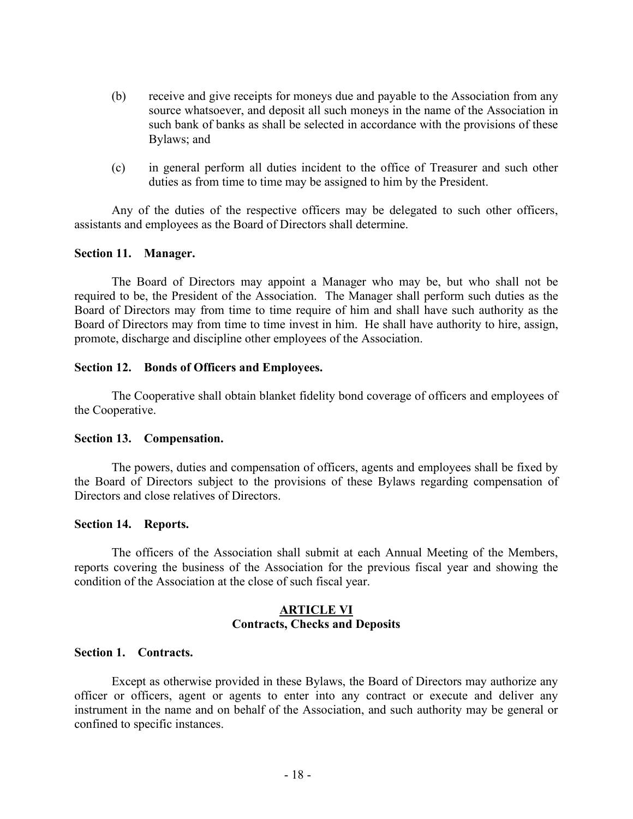- (b) receive and give receipts for moneys due and payable to the Association from any source whatsoever, and deposit all such moneys in the name of the Association in such bank of banks as shall be selected in accordance with the provisions of these Bylaws; and
- (c) in general perform all duties incident to the office of Treasurer and such other duties as from time to time may be assigned to him by the President.

Any of the duties of the respective officers may be delegated to such other officers, assistants and employees as the Board of Directors shall determine.

### **Section 11. Manager.**

The Board of Directors may appoint a Manager who may be, but who shall not be required to be, the President of the Association. The Manager shall perform such duties as the Board of Directors may from time to time require of him and shall have such authority as the Board of Directors may from time to time invest in him. He shall have authority to hire, assign, promote, discharge and discipline other employees of the Association.

#### **Section 12. Bonds of Officers and Employees.**

The Cooperative shall obtain blanket fidelity bond coverage of officers and employees of the Cooperative.

#### **Section 13. Compensation.**

The powers, duties and compensation of officers, agents and employees shall be fixed by the Board of Directors subject to the provisions of these Bylaws regarding compensation of Directors and close relatives of Directors.

#### **Section 14. Reports.**

The officers of the Association shall submit at each Annual Meeting of the Members, reports covering the business of the Association for the previous fiscal year and showing the condition of the Association at the close of such fiscal year.

#### **ARTICLE VI Contracts, Checks and Deposits**

#### **Section 1. Contracts.**

Except as otherwise provided in these Bylaws, the Board of Directors may authorize any officer or officers, agent or agents to enter into any contract or execute and deliver any instrument in the name and on behalf of the Association, and such authority may be general or confined to specific instances.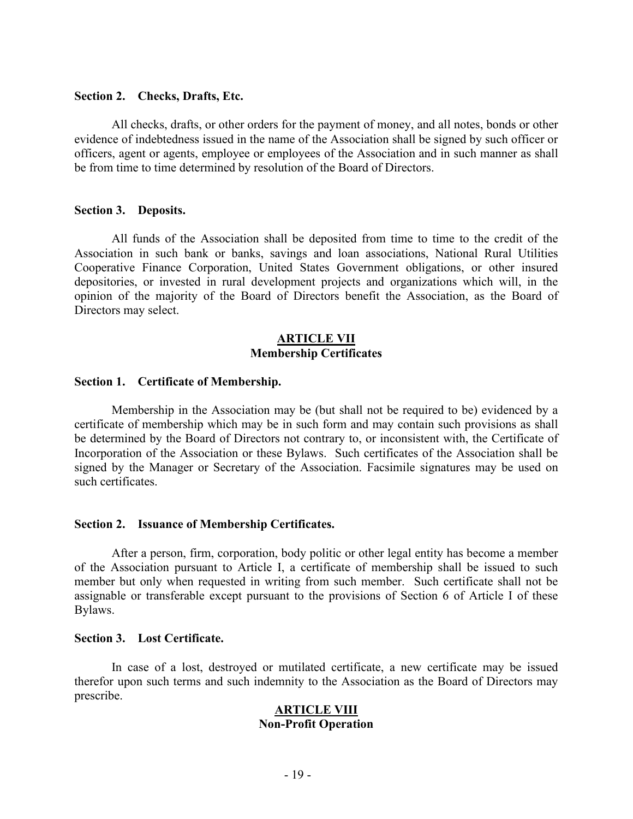#### **Section 2. Checks, Drafts, Etc.**

All checks, drafts, or other orders for the payment of money, and all notes, bonds or other evidence of indebtedness issued in the name of the Association shall be signed by such officer or officers, agent or agents, employee or employees of the Association and in such manner as shall be from time to time determined by resolution of the Board of Directors.

#### **Section 3. Deposits.**

All funds of the Association shall be deposited from time to time to the credit of the Association in such bank or banks, savings and loan associations, National Rural Utilities Cooperative Finance Corporation, United States Government obligations, or other insured depositories, or invested in rural development projects and organizations which will, in the opinion of the majority of the Board of Directors benefit the Association, as the Board of Directors may select.

#### **ARTICLE VII Membership Certificates**

#### **Section 1. Certificate of Membership.**

Membership in the Association may be (but shall not be required to be) evidenced by a certificate of membership which may be in such form and may contain such provisions as shall be determined by the Board of Directors not contrary to, or inconsistent with, the Certificate of Incorporation of the Association or these Bylaws. Such certificates of the Association shall be signed by the Manager or Secretary of the Association. Facsimile signatures may be used on such certificates.

#### **Section 2. Issuance of Membership Certificates.**

After a person, firm, corporation, body politic or other legal entity has become a member of the Association pursuant to Article I, a certificate of membership shall be issued to such member but only when requested in writing from such member. Such certificate shall not be assignable or transferable except pursuant to the provisions of Section 6 of Article I of these Bylaws.

#### **Section 3. Lost Certificate.**

In case of a lost, destroyed or mutilated certificate, a new certificate may be issued therefor upon such terms and such indemnity to the Association as the Board of Directors may prescribe.

### **ARTICLE VIII Non-Profit Operation**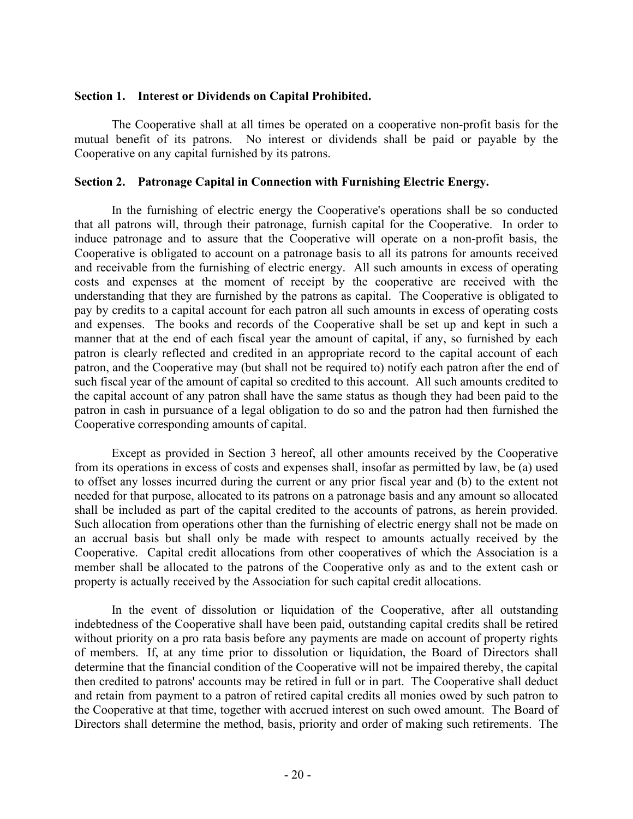#### **Section 1. Interest or Dividends on Capital Prohibited.**

The Cooperative shall at all times be operated on a cooperative non-profit basis for the mutual benefit of its patrons. No interest or dividends shall be paid or payable by the Cooperative on any capital furnished by its patrons.

### **Section 2. Patronage Capital in Connection with Furnishing Electric Energy.**

In the furnishing of electric energy the Cooperative's operations shall be so conducted that all patrons will, through their patronage, furnish capital for the Cooperative. In order to induce patronage and to assure that the Cooperative will operate on a non-profit basis, the Cooperative is obligated to account on a patronage basis to all its patrons for amounts received and receivable from the furnishing of electric energy. All such amounts in excess of operating costs and expenses at the moment of receipt by the cooperative are received with the understanding that they are furnished by the patrons as capital. The Cooperative is obligated to pay by credits to a capital account for each patron all such amounts in excess of operating costs and expenses. The books and records of the Cooperative shall be set up and kept in such a manner that at the end of each fiscal year the amount of capital, if any, so furnished by each patron is clearly reflected and credited in an appropriate record to the capital account of each patron, and the Cooperative may (but shall not be required to) notify each patron after the end of such fiscal year of the amount of capital so credited to this account. All such amounts credited to the capital account of any patron shall have the same status as though they had been paid to the patron in cash in pursuance of a legal obligation to do so and the patron had then furnished the Cooperative corresponding amounts of capital.

Except as provided in Section 3 hereof, all other amounts received by the Cooperative from its operations in excess of costs and expenses shall, insofar as permitted by law, be (a) used to offset any losses incurred during the current or any prior fiscal year and (b) to the extent not needed for that purpose, allocated to its patrons on a patronage basis and any amount so allocated shall be included as part of the capital credited to the accounts of patrons, as herein provided. Such allocation from operations other than the furnishing of electric energy shall not be made on an accrual basis but shall only be made with respect to amounts actually received by the Cooperative. Capital credit allocations from other cooperatives of which the Association is a member shall be allocated to the patrons of the Cooperative only as and to the extent cash or property is actually received by the Association for such capital credit allocations.

In the event of dissolution or liquidation of the Cooperative, after all outstanding indebtedness of the Cooperative shall have been paid, outstanding capital credits shall be retired without priority on a pro rata basis before any payments are made on account of property rights of members. If, at any time prior to dissolution or liquidation, the Board of Directors shall determine that the financial condition of the Cooperative will not be impaired thereby, the capital then credited to patrons' accounts may be retired in full or in part. The Cooperative shall deduct and retain from payment to a patron of retired capital credits all monies owed by such patron to the Cooperative at that time, together with accrued interest on such owed amount. The Board of Directors shall determine the method, basis, priority and order of making such retirements. The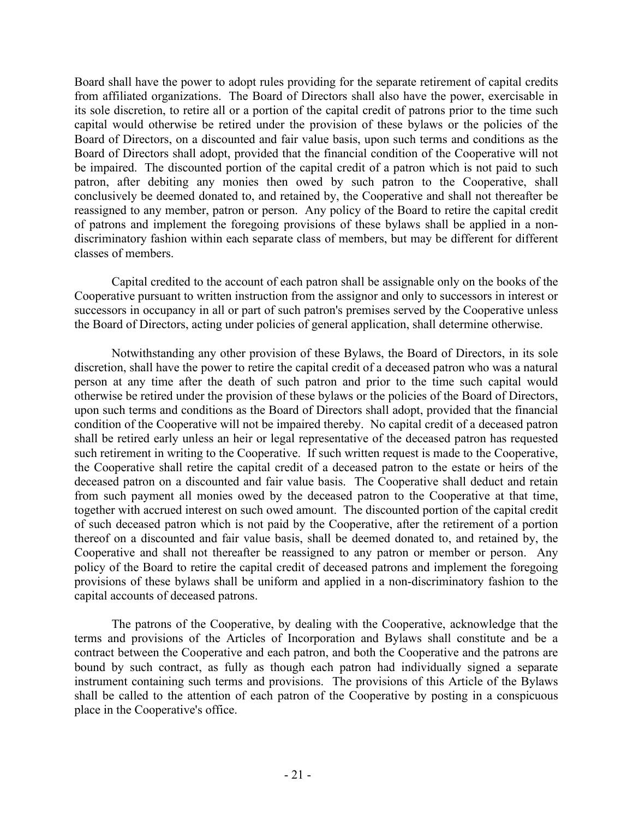Board shall have the power to adopt rules providing for the separate retirement of capital credits from affiliated organizations. The Board of Directors shall also have the power, exercisable in its sole discretion, to retire all or a portion of the capital credit of patrons prior to the time such capital would otherwise be retired under the provision of these bylaws or the policies of the Board of Directors, on a discounted and fair value basis, upon such terms and conditions as the Board of Directors shall adopt, provided that the financial condition of the Cooperative will not be impaired. The discounted portion of the capital credit of a patron which is not paid to such patron, after debiting any monies then owed by such patron to the Cooperative, shall conclusively be deemed donated to, and retained by, the Cooperative and shall not thereafter be reassigned to any member, patron or person. Any policy of the Board to retire the capital credit of patrons and implement the foregoing provisions of these bylaws shall be applied in a nondiscriminatory fashion within each separate class of members, but may be different for different classes of members.

Capital credited to the account of each patron shall be assignable only on the books of the Cooperative pursuant to written instruction from the assignor and only to successors in interest or successors in occupancy in all or part of such patron's premises served by the Cooperative unless the Board of Directors, acting under policies of general application, shall determine otherwise.

Notwithstanding any other provision of these Bylaws, the Board of Directors, in its sole discretion, shall have the power to retire the capital credit of a deceased patron who was a natural person at any time after the death of such patron and prior to the time such capital would otherwise be retired under the provision of these bylaws or the policies of the Board of Directors, upon such terms and conditions as the Board of Directors shall adopt, provided that the financial condition of the Cooperative will not be impaired thereby. No capital credit of a deceased patron shall be retired early unless an heir or legal representative of the deceased patron has requested such retirement in writing to the Cooperative. If such written request is made to the Cooperative, the Cooperative shall retire the capital credit of a deceased patron to the estate or heirs of the deceased patron on a discounted and fair value basis. The Cooperative shall deduct and retain from such payment all monies owed by the deceased patron to the Cooperative at that time, together with accrued interest on such owed amount. The discounted portion of the capital credit of such deceased patron which is not paid by the Cooperative, after the retirement of a portion thereof on a discounted and fair value basis, shall be deemed donated to, and retained by, the Cooperative and shall not thereafter be reassigned to any patron or member or person. Any policy of the Board to retire the capital credit of deceased patrons and implement the foregoing provisions of these bylaws shall be uniform and applied in a non-discriminatory fashion to the capital accounts of deceased patrons.

The patrons of the Cooperative, by dealing with the Cooperative, acknowledge that the terms and provisions of the Articles of Incorporation and Bylaws shall constitute and be a contract between the Cooperative and each patron, and both the Cooperative and the patrons are bound by such contract, as fully as though each patron had individually signed a separate instrument containing such terms and provisions. The provisions of this Article of the Bylaws shall be called to the attention of each patron of the Cooperative by posting in a conspicuous place in the Cooperative's office.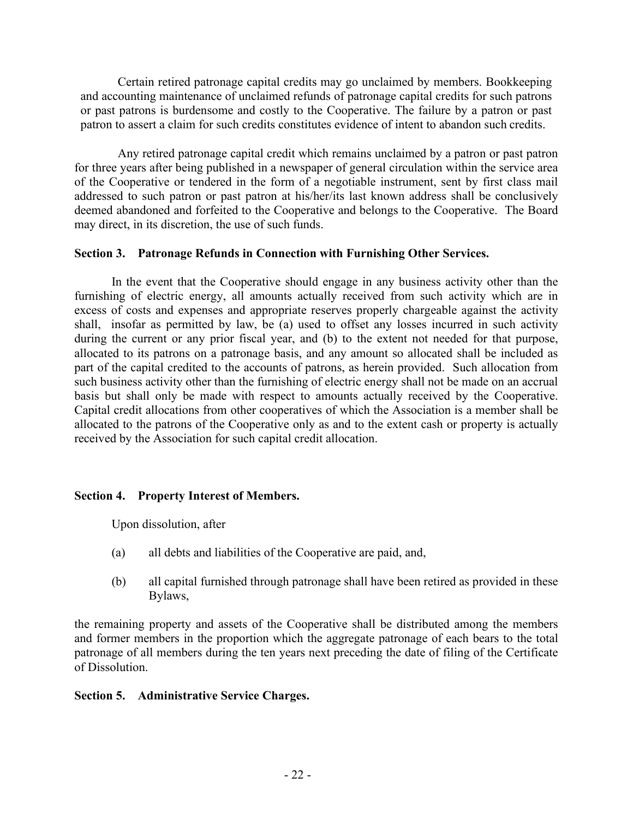Certain retired patronage capital credits may go unclaimed by members. Bookkeeping and accounting maintenance of unclaimed refunds of patronage capital credits for such patrons or past patrons is burdensome and costly to the Cooperative. The failure by a patron or past patron to assert a claim for such credits constitutes evidence of intent to abandon such credits.

 Any retired patronage capital credit which remains unclaimed by a patron or past patron for three years after being published in a newspaper of general circulation within the service area of the Cooperative or tendered in the form of a negotiable instrument, sent by first class mail addressed to such patron or past patron at his/her/its last known address shall be conclusively deemed abandoned and forfeited to the Cooperative and belongs to the Cooperative. The Board may direct, in its discretion, the use of such funds.

### **Section 3. Patronage Refunds in Connection with Furnishing Other Services.**

In the event that the Cooperative should engage in any business activity other than the furnishing of electric energy, all amounts actually received from such activity which are in excess of costs and expenses and appropriate reserves properly chargeable against the activity shall, insofar as permitted by law, be (a) used to offset any losses incurred in such activity during the current or any prior fiscal year, and (b) to the extent not needed for that purpose, allocated to its patrons on a patronage basis, and any amount so allocated shall be included as part of the capital credited to the accounts of patrons, as herein provided. Such allocation from such business activity other than the furnishing of electric energy shall not be made on an accrual basis but shall only be made with respect to amounts actually received by the Cooperative. Capital credit allocations from other cooperatives of which the Association is a member shall be allocated to the patrons of the Cooperative only as and to the extent cash or property is actually received by the Association for such capital credit allocation.

### **Section 4. Property Interest of Members.**

Upon dissolution, after

- (a) all debts and liabilities of the Cooperative are paid, and,
- (b) all capital furnished through patronage shall have been retired as provided in these Bylaws,

the remaining property and assets of the Cooperative shall be distributed among the members and former members in the proportion which the aggregate patronage of each bears to the total patronage of all members during the ten years next preceding the date of filing of the Certificate of Dissolution.

### **Section 5. Administrative Service Charges.**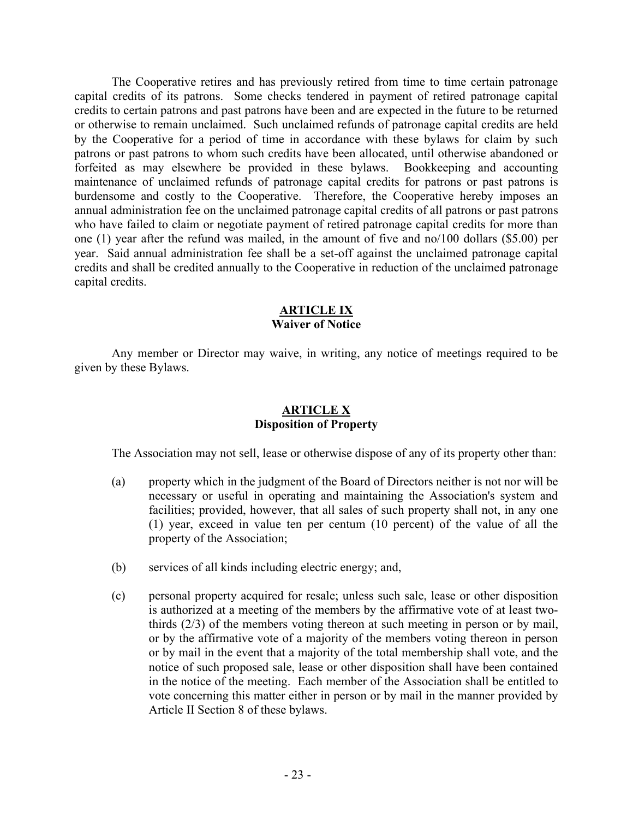The Cooperative retires and has previously retired from time to time certain patronage capital credits of its patrons. Some checks tendered in payment of retired patronage capital credits to certain patrons and past patrons have been and are expected in the future to be returned or otherwise to remain unclaimed. Such unclaimed refunds of patronage capital credits are held by the Cooperative for a period of time in accordance with these bylaws for claim by such patrons or past patrons to whom such credits have been allocated, until otherwise abandoned or forfeited as may elsewhere be provided in these bylaws. Bookkeeping and accounting maintenance of unclaimed refunds of patronage capital credits for patrons or past patrons is burdensome and costly to the Cooperative. Therefore, the Cooperative hereby imposes an annual administration fee on the unclaimed patronage capital credits of all patrons or past patrons who have failed to claim or negotiate payment of retired patronage capital credits for more than one (1) year after the refund was mailed, in the amount of five and no/100 dollars (\$5.00) per year. Said annual administration fee shall be a set-off against the unclaimed patronage capital credits and shall be credited annually to the Cooperative in reduction of the unclaimed patronage capital credits.

### **ARTICLE IX Waiver of Notice**

Any member or Director may waive, in writing, any notice of meetings required to be given by these Bylaws.

### **ARTICLE X Disposition of Property**

The Association may not sell, lease or otherwise dispose of any of its property other than:

- (a) property which in the judgment of the Board of Directors neither is not nor will be necessary or useful in operating and maintaining the Association's system and facilities; provided, however, that all sales of such property shall not, in any one (1) year, exceed in value ten per centum (10 percent) of the value of all the property of the Association;
- (b) services of all kinds including electric energy; and,
- (c) personal property acquired for resale; unless such sale, lease or other disposition is authorized at a meeting of the members by the affirmative vote of at least twothirds (2/3) of the members voting thereon at such meeting in person or by mail, or by the affirmative vote of a majority of the members voting thereon in person or by mail in the event that a majority of the total membership shall vote, and the notice of such proposed sale, lease or other disposition shall have been contained in the notice of the meeting. Each member of the Association shall be entitled to vote concerning this matter either in person or by mail in the manner provided by Article II Section 8 of these bylaws.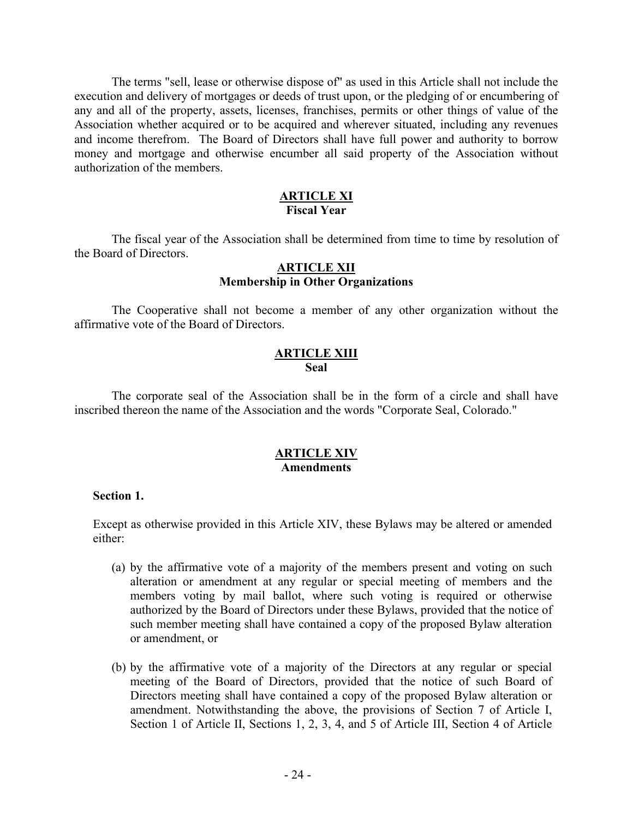The terms "sell, lease or otherwise dispose of" as used in this Article shall not include the execution and delivery of mortgages or deeds of trust upon, or the pledging of or encumbering of any and all of the property, assets, licenses, franchises, permits or other things of value of the Association whether acquired or to be acquired and wherever situated, including any revenues and income therefrom. The Board of Directors shall have full power and authority to borrow money and mortgage and otherwise encumber all said property of the Association without authorization of the members.

### **ARTICLE XI Fiscal Year**

The fiscal year of the Association shall be determined from time to time by resolution of the Board of Directors.

#### **ARTICLE XII Membership in Other Organizations**

The Cooperative shall not become a member of any other organization without the affirmative vote of the Board of Directors.

### **ARTICLE XIII Seal**

The corporate seal of the Association shall be in the form of a circle and shall have inscribed thereon the name of the Association and the words "Corporate Seal, Colorado."

### **ARTICLE XIV Amendments**

#### **Section 1.**

Except as otherwise provided in this Article XIV, these Bylaws may be altered or amended either:

- (a) by the affirmative vote of a majority of the members present and voting on such alteration or amendment at any regular or special meeting of members and the members voting by mail ballot, where such voting is required or otherwise authorized by the Board of Directors under these Bylaws, provided that the notice of such member meeting shall have contained a copy of the proposed Bylaw alteration or amendment, or
- (b) by the affirmative vote of a majority of the Directors at any regular or special meeting of the Board of Directors, provided that the notice of such Board of Directors meeting shall have contained a copy of the proposed Bylaw alteration or amendment. Notwithstanding the above, the provisions of Section 7 of Article I, Section 1 of Article II, Sections 1, 2, 3, 4, and 5 of Article III, Section 4 of Article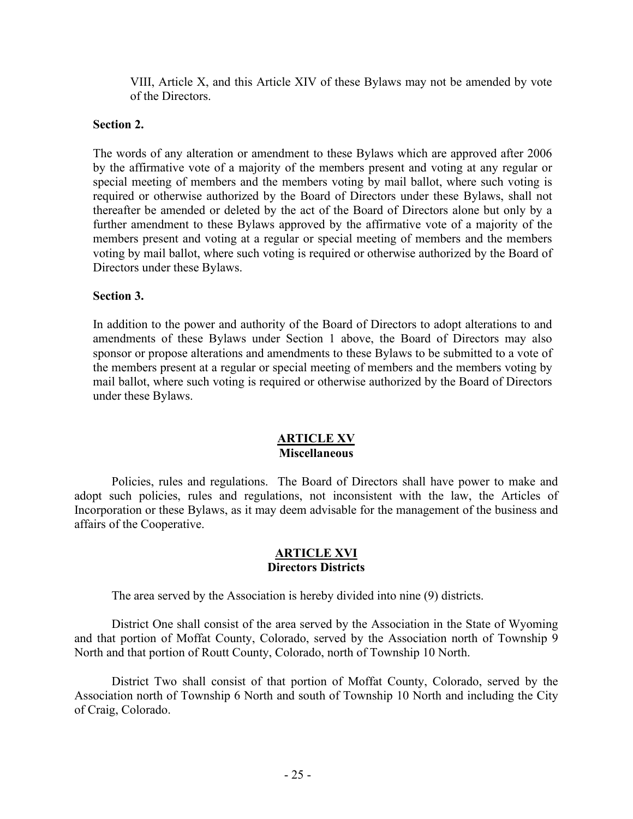VIII, Article X, and this Article XIV of these Bylaws may not be amended by vote of the Directors.

### **Section 2.**

The words of any alteration or amendment to these Bylaws which are approved after 2006 by the affirmative vote of a majority of the members present and voting at any regular or special meeting of members and the members voting by mail ballot, where such voting is required or otherwise authorized by the Board of Directors under these Bylaws, shall not thereafter be amended or deleted by the act of the Board of Directors alone but only by a further amendment to these Bylaws approved by the affirmative vote of a majority of the members present and voting at a regular or special meeting of members and the members voting by mail ballot, where such voting is required or otherwise authorized by the Board of Directors under these Bylaws.

### **Section 3.**

In addition to the power and authority of the Board of Directors to adopt alterations to and amendments of these Bylaws under Section 1 above, the Board of Directors may also sponsor or propose alterations and amendments to these Bylaws to be submitted to a vote of the members present at a regular or special meeting of members and the members voting by mail ballot, where such voting is required or otherwise authorized by the Board of Directors under these Bylaws.

### **ARTICLE XV Miscellaneous**

Policies, rules and regulations. The Board of Directors shall have power to make and adopt such policies, rules and regulations, not inconsistent with the law, the Articles of Incorporation or these Bylaws, as it may deem advisable for the management of the business and affairs of the Cooperative.

### **ARTICLE XVI Directors Districts**

The area served by the Association is hereby divided into nine (9) districts.

District One shall consist of the area served by the Association in the State of Wyoming and that portion of Moffat County, Colorado, served by the Association north of Township 9 North and that portion of Routt County, Colorado, north of Township 10 North.

District Two shall consist of that portion of Moffat County, Colorado, served by the Association north of Township 6 North and south of Township 10 North and including the City of Craig, Colorado.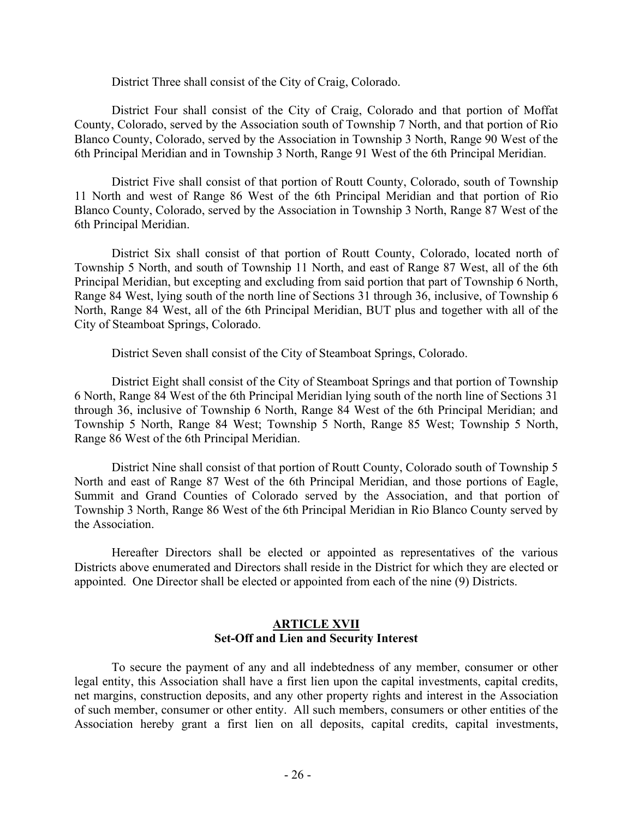District Three shall consist of the City of Craig, Colorado.

District Four shall consist of the City of Craig, Colorado and that portion of Moffat County, Colorado, served by the Association south of Township 7 North, and that portion of Rio Blanco County, Colorado, served by the Association in Township 3 North, Range 90 West of the 6th Principal Meridian and in Township 3 North, Range 91 West of the 6th Principal Meridian.

District Five shall consist of that portion of Routt County, Colorado, south of Township 11 North and west of Range 86 West of the 6th Principal Meridian and that portion of Rio Blanco County, Colorado, served by the Association in Township 3 North, Range 87 West of the 6th Principal Meridian.

District Six shall consist of that portion of Routt County, Colorado, located north of Township 5 North, and south of Township 11 North, and east of Range 87 West, all of the 6th Principal Meridian, but excepting and excluding from said portion that part of Township 6 North, Range 84 West, lying south of the north line of Sections 31 through 36, inclusive, of Township 6 North, Range 84 West, all of the 6th Principal Meridian, BUT plus and together with all of the City of Steamboat Springs, Colorado.

District Seven shall consist of the City of Steamboat Springs, Colorado.

District Eight shall consist of the City of Steamboat Springs and that portion of Township 6 North, Range 84 West of the 6th Principal Meridian lying south of the north line of Sections 31 through 36, inclusive of Township 6 North, Range 84 West of the 6th Principal Meridian; and Township 5 North, Range 84 West; Township 5 North, Range 85 West; Township 5 North, Range 86 West of the 6th Principal Meridian.

District Nine shall consist of that portion of Routt County, Colorado south of Township 5 North and east of Range 87 West of the 6th Principal Meridian, and those portions of Eagle, Summit and Grand Counties of Colorado served by the Association, and that portion of Township 3 North, Range 86 West of the 6th Principal Meridian in Rio Blanco County served by the Association.

Hereafter Directors shall be elected or appointed as representatives of the various Districts above enumerated and Directors shall reside in the District for which they are elected or appointed. One Director shall be elected or appointed from each of the nine (9) Districts.

### **ARTICLE XVII Set-Off and Lien and Security Interest**

To secure the payment of any and all indebtedness of any member, consumer or other legal entity, this Association shall have a first lien upon the capital investments, capital credits, net margins, construction deposits, and any other property rights and interest in the Association of such member, consumer or other entity. All such members, consumers or other entities of the Association hereby grant a first lien on all deposits, capital credits, capital investments,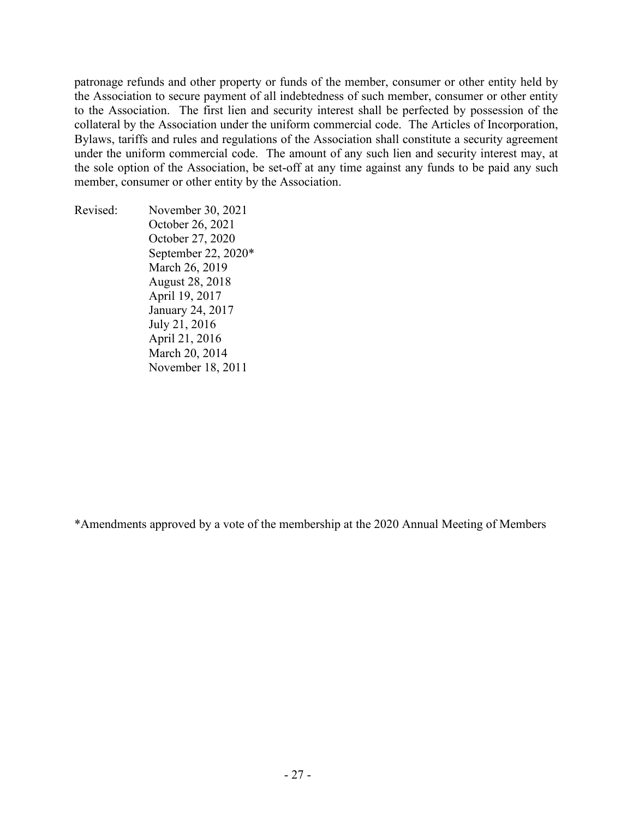patronage refunds and other property or funds of the member, consumer or other entity held by the Association to secure payment of all indebtedness of such member, consumer or other entity to the Association. The first lien and security interest shall be perfected by possession of the collateral by the Association under the uniform commercial code. The Articles of Incorporation, Bylaws, tariffs and rules and regulations of the Association shall constitute a security agreement under the uniform commercial code. The amount of any such lien and security interest may, at the sole option of the Association, be set-off at any time against any funds to be paid any such member, consumer or other entity by the Association.

Revised: November 30, 2021 October 26, 2021 October 27, 2020 September 22, 2020\* March 26, 2019 August 28, 2018 April 19, 2017 January 24, 2017 July 21, 2016 April 21, 2016 March 20, 2014 November 18, 2011

\*Amendments approved by a vote of the membership at the 2020 Annual Meeting of Members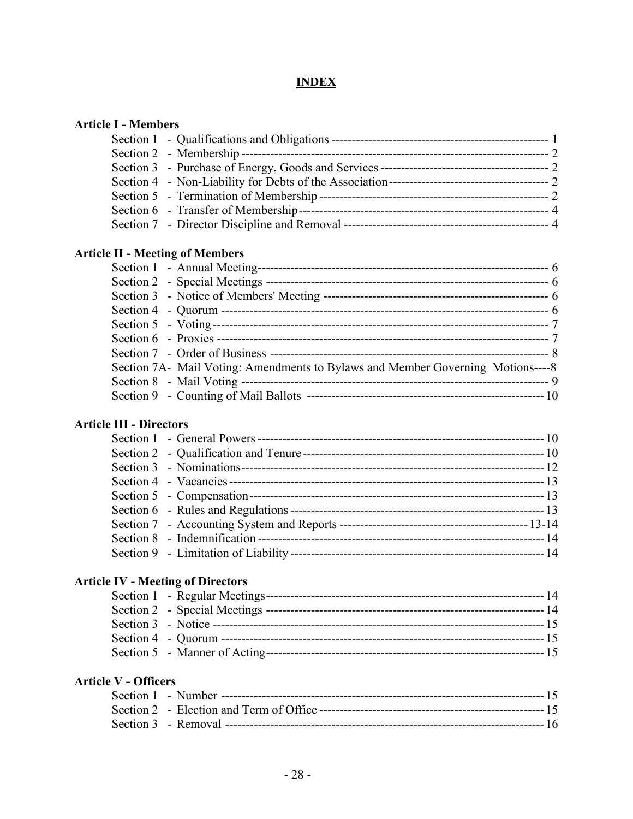## **INDEX**

| <b>Article I - Members</b>             |  |
|----------------------------------------|--|
|                                        |  |
|                                        |  |
|                                        |  |
|                                        |  |
|                                        |  |
|                                        |  |
|                                        |  |
| <b>Article II - Meeting of Members</b> |  |
|                                        |  |
|                                        |  |
|                                        |  |
|                                        |  |

| Section 7A- Mail Voting: Amendments to Bylaws and Member Governing Motions----8 |  |
|---------------------------------------------------------------------------------|--|
|                                                                                 |  |
|                                                                                 |  |

## **Article III - Directors**

# **Article IV - Meeting of Directors**

## **Article V - Officers**